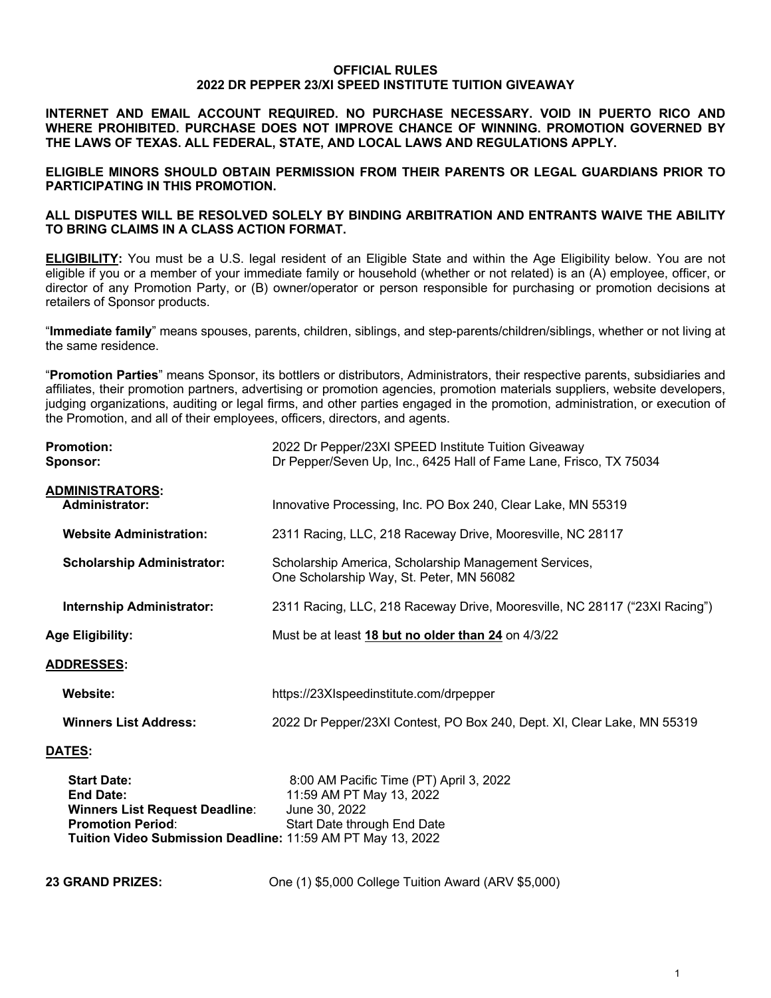### **OFFICIAL RULES 2022 DR PEPPER 23/XI SPEED INSTITUTE TUITION GIVEAWAY**

**INTERNET AND EMAIL ACCOUNT REQUIRED. NO PURCHASE NECESSARY. VOID IN PUERTO RICO AND WHERE PROHIBITED. PURCHASE DOES NOT IMPROVE CHANCE OF WINNING. PROMOTION GOVERNED BY THE LAWS OF TEXAS. ALL FEDERAL, STATE, AND LOCAL LAWS AND REGULATIONS APPLY.**

**ELIGIBLE MINORS SHOULD OBTAIN PERMISSION FROM THEIR PARENTS OR LEGAL GUARDIANS PRIOR TO PARTICIPATING IN THIS PROMOTION.**

### **ALL DISPUTES WILL BE RESOLVED SOLELY BY BINDING ARBITRATION AND ENTRANTS WAIVE THE ABILITY TO BRING CLAIMS IN A CLASS ACTION FORMAT.**

**ELIGIBILITY:** You must be a U.S. legal resident of an Eligible State and within the Age Eligibility below. You are not eligible if you or a member of your immediate family or household (whether or not related) is an (A) employee, officer, or director of any Promotion Party, or (B) owner/operator or person responsible for purchasing or promotion decisions at retailers of Sponsor products.

"**Immediate family**" means spouses, parents, children, siblings, and step-parents/children/siblings, whether or not living at the same residence.

"**Promotion Parties**" means Sponsor, its bottlers or distributors, Administrators, their respective parents, subsidiaries and affiliates, their promotion partners, advertising or promotion agencies, promotion materials suppliers, website developers, judging organizations, auditing or legal firms, and other parties engaged in the promotion, administration, or execution of the Promotion, and all of their employees, officers, directors, and agents.

| <b>Promotion:</b><br>Sponsor:                   | 2022 Dr Pepper/23XI SPEED Institute Tuition Giveaway<br>Dr Pepper/Seven Up, Inc., 6425 Hall of Fame Lane, Frisco, TX 75034 |  |  |
|-------------------------------------------------|----------------------------------------------------------------------------------------------------------------------------|--|--|
| <b>ADMINISTRATORS:</b><br><b>Administrator:</b> | Innovative Processing, Inc. PO Box 240, Clear Lake, MN 55319                                                               |  |  |
| <b>Website Administration:</b>                  | 2311 Racing, LLC, 218 Raceway Drive, Mooresville, NC 28117                                                                 |  |  |
| <b>Scholarship Administrator:</b>               | Scholarship America, Scholarship Management Services,<br>One Scholarship Way, St. Peter, MN 56082                          |  |  |
| <b>Internship Administrator:</b>                | 2311 Racing, LLC, 218 Raceway Drive, Mooresville, NC 28117 ("23XI Racing")                                                 |  |  |
| <b>Age Eligibility:</b>                         | Must be at least 18 but no older than 24 on 4/3/22                                                                         |  |  |
| <b>ADDRESSES:</b>                               |                                                                                                                            |  |  |
| Website:                                        | https://23XIspeedinstitute.com/drpepper                                                                                    |  |  |
| <b>Winners List Address:</b>                    | 2022 Dr Pepper/23XI Contest, PO Box 240, Dept. XI, Clear Lake, MN 55319                                                    |  |  |
| <b>DATES:</b>                                   |                                                                                                                            |  |  |
| <b>Start Date:</b>                              | 8:00 AM Pacific Time (PT) April 3, 2022                                                                                    |  |  |

| <b>Start Date:</b>                                          | 8:00 AM Pacific Time (PT) April 3, 202 |
|-------------------------------------------------------------|----------------------------------------|
| <b>End Date:</b>                                            | 11:59 AM PT May 13, 2022               |
| <b>Winners List Request Deadline:</b>                       | June 30, 2022                          |
| <b>Promotion Period:</b>                                    | Start Date through End Date            |
| Tuition Video Submission Deadline: 11:59 AM PT May 13, 2022 |                                        |

**23 GRAND PRIZES:** One (1) \$5,000 College Tuition Award (ARV \$5,000)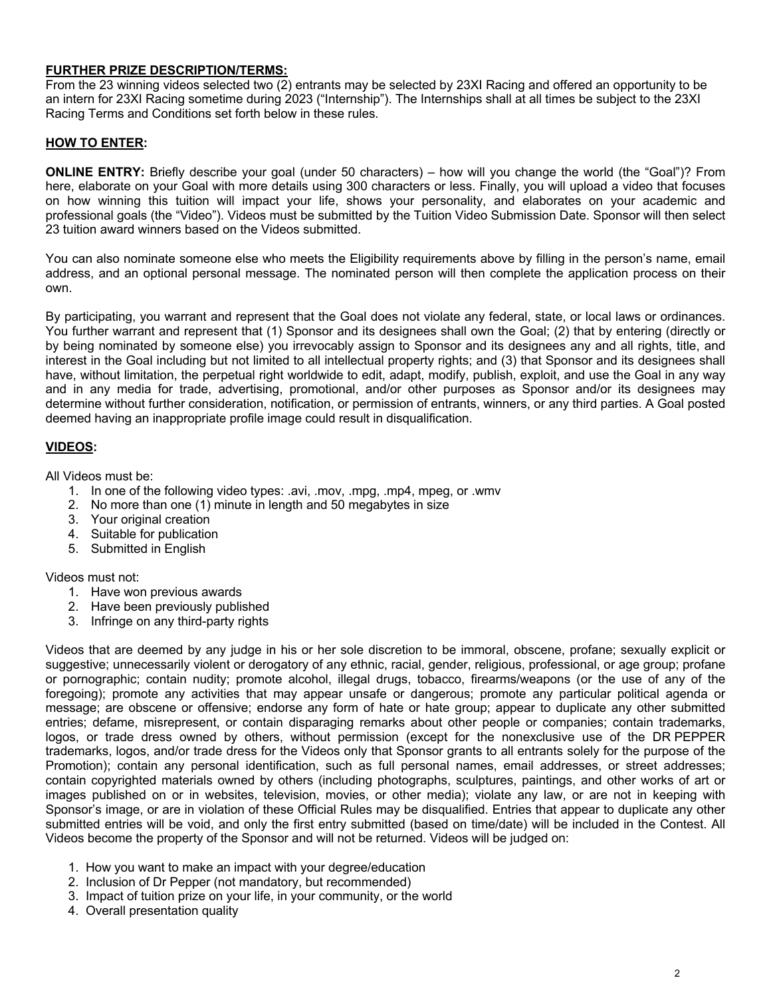## **FURTHER PRIZE DESCRIPTION/TERMS:**

From the 23 winning videos selected two (2) entrants may be selected by 23XI Racing and offered an opportunity to be an intern for 23XI Racing sometime during 2023 ("Internship"). The Internships shall at all times be subject to the 23XI Racing Terms and Conditions set forth below in these rules.

## **HOW TO ENTER:**

**ONLINE ENTRY:** Briefly describe your goal (under 50 characters) – how will you change the world (the "Goal")? From here, elaborate on your Goal with more details using 300 characters or less. Finally, you will upload a video that focuses on how winning this tuition will impact your life, shows your personality, and elaborates on your academic and professional goals (the "Video"). Videos must be submitted by the Tuition Video Submission Date. Sponsor will then select 23 tuition award winners based on the Videos submitted.

You can also nominate someone else who meets the Eligibility requirements above by filling in the person's name, email address, and an optional personal message. The nominated person will then complete the application process on their own.

By participating, you warrant and represent that the Goal does not violate any federal, state, or local laws or ordinances. You further warrant and represent that (1) Sponsor and its designees shall own the Goal; (2) that by entering (directly or by being nominated by someone else) you irrevocably assign to Sponsor and its designees any and all rights, title, and interest in the Goal including but not limited to all intellectual property rights; and (3) that Sponsor and its designees shall have, without limitation, the perpetual right worldwide to edit, adapt, modify, publish, exploit, and use the Goal in any way and in any media for trade, advertising, promotional, and/or other purposes as Sponsor and/or its designees may determine without further consideration, notification, or permission of entrants, winners, or any third parties. A Goal posted deemed having an inappropriate profile image could result in disqualification.

# **VIDEOS:**

All Videos must be:

- 1. In one of the following video types: .avi, .mov, .mpg, .mp4, mpeg, or .wmv
- 2. No more than one (1) minute in length and 50 megabytes in size
- 3. Your original creation
- 4. Suitable for publication
- 5. Submitted in English

Videos must not:

- 1. Have won previous awards
- 2. Have been previously published
- 3. Infringe on any third-party rights

Videos that are deemed by any judge in his or her sole discretion to be immoral, obscene, profane; sexually explicit or suggestive; unnecessarily violent or derogatory of any ethnic, racial, gender, religious, professional, or age group; profane or pornographic; contain nudity; promote alcohol, illegal drugs, tobacco, firearms/weapons (or the use of any of the foregoing); promote any activities that may appear unsafe or dangerous; promote any particular political agenda or message; are obscene or offensive; endorse any form of hate or hate group; appear to duplicate any other submitted entries; defame, misrepresent, or contain disparaging remarks about other people or companies; contain trademarks, logos, or trade dress owned by others, without permission (except for the nonexclusive use of the DR PEPPER trademarks, logos, and/or trade dress for the Videos only that Sponsor grants to all entrants solely for the purpose of the Promotion); contain any personal identification, such as full personal names, email addresses, or street addresses; contain copyrighted materials owned by others (including photographs, sculptures, paintings, and other works of art or images published on or in websites, television, movies, or other media); violate any law, or are not in keeping with Sponsor's image, or are in violation of these Official Rules may be disqualified. Entries that appear to duplicate any other submitted entries will be void, and only the first entry submitted (based on time/date) will be included in the Contest. All Videos become the property of the Sponsor and will not be returned. Videos will be judged on:

- 1. How you want to make an impact with your degree/education
- 2. Inclusion of Dr Pepper (not mandatory, but recommended)
- 3. Impact of tuition prize on your life, in your community, or the world
- 4. Overall presentation quality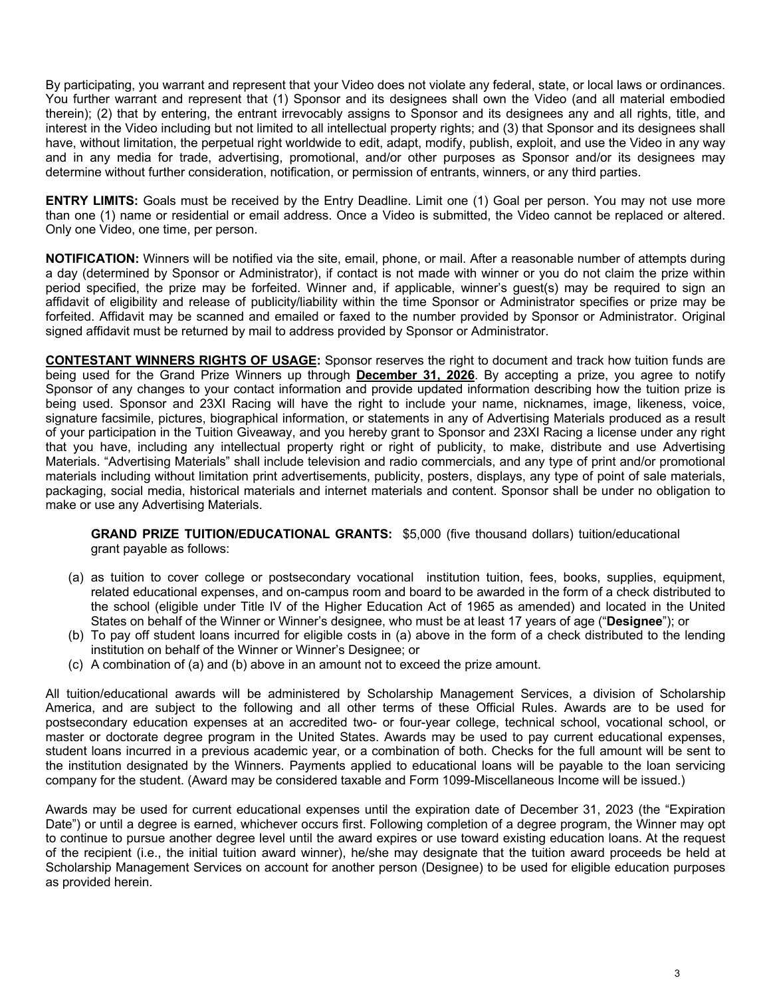By participating, you warrant and represent that your Video does not violate any federal, state, or local laws or ordinances. You further warrant and represent that (1) Sponsor and its designees shall own the Video (and all material embodied therein); (2) that by entering, the entrant irrevocably assigns to Sponsor and its designees any and all rights, title, and interest in the Video including but not limited to all intellectual property rights; and (3) that Sponsor and its designees shall have, without limitation, the perpetual right worldwide to edit, adapt, modify, publish, exploit, and use the Video in any way and in any media for trade, advertising, promotional, and/or other purposes as Sponsor and/or its designees may determine without further consideration, notification, or permission of entrants, winners, or any third parties.

**ENTRY LIMITS:** Goals must be received by the Entry Deadline. Limit one (1) Goal per person. You may not use more than one (1) name or residential or email address. Once a Video is submitted, the Video cannot be replaced or altered. Only one Video, one time, per person.

**NOTIFICATION:** Winners will be notified via the site, email, phone, or mail. After a reasonable number of attempts during a day (determined by Sponsor or Administrator), if contact is not made with winner or you do not claim the prize within period specified, the prize may be forfeited. Winner and, if applicable, winner's guest(s) may be required to sign an affidavit of eligibility and release of publicity/liability within the time Sponsor or Administrator specifies or prize may be forfeited. Affidavit may be scanned and emailed or faxed to the number provided by Sponsor or Administrator. Original signed affidavit must be returned by mail to address provided by Sponsor or Administrator.

**CONTESTANT WINNERS RIGHTS OF USAGE:** Sponsor reserves the right to document and track how tuition funds are being used for the Grand Prize Winners up through **December 31, 2026**. By accepting a prize, you agree to notify Sponsor of any changes to your contact information and provide updated information describing how the tuition prize is being used. Sponsor and 23XI Racing will have the right to include your name, nicknames, image, likeness, voice, signature facsimile, pictures, biographical information, or statements in any of Advertising Materials produced as a result of your participation in the Tuition Giveaway, and you hereby grant to Sponsor and 23XI Racing a license under any right that you have, including any intellectual property right or right of publicity, to make, distribute and use Advertising Materials. "Advertising Materials" shall include television and radio commercials, and any type of print and/or promotional materials including without limitation print advertisements, publicity, posters, displays, any type of point of sale materials, packaging, social media, historical materials and internet materials and content. Sponsor shall be under no obligation to make or use any Advertising Materials.

**GRAND PRIZE TUITION/EDUCATIONAL GRANTS:** \$5,000 (five thousand dollars) tuition/educational grant payable as follows:

- (a) as tuition to cover college or postsecondary vocational institution tuition, fees, books, supplies, equipment, related educational expenses, and on-campus room and board to be awarded in the form of a check distributed to the school (eligible under Title IV of the Higher Education Act of 1965 as amended) and located in the United States on behalf of the Winner or Winner's designee, who must be at least 17 years of age ("**Designee**"); or
- (b) To pay off student loans incurred for eligible costs in (a) above in the form of a check distributed to the lending institution on behalf of the Winner or Winner's Designee; or
- (c) A combination of (a) and (b) above in an amount not to exceed the prize amount.

All tuition/educational awards will be administered by Scholarship Management Services, a division of Scholarship America, and are subject to the following and all other terms of these Official Rules. Awards are to be used for postsecondary education expenses at an accredited two- or four-year college, technical school, vocational school, or master or doctorate degree program in the United States. Awards may be used to pay current educational expenses, student loans incurred in a previous academic year, or a combination of both. Checks for the full amount will be sent to the institution designated by the Winners. Payments applied to educational loans will be payable to the loan servicing company for the student. (Award may be considered taxable and Form 1099-Miscellaneous Income will be issued.)

Awards may be used for current educational expenses until the expiration date of December 31, 2023 (the "Expiration Date") or until a degree is earned, whichever occurs first. Following completion of a degree program, the Winner may opt to continue to pursue another degree level until the award expires or use toward existing education loans. At the request of the recipient (i.e., the initial tuition award winner), he/she may designate that the tuition award proceeds be held at Scholarship Management Services on account for another person (Designee) to be used for eligible education purposes as provided herein.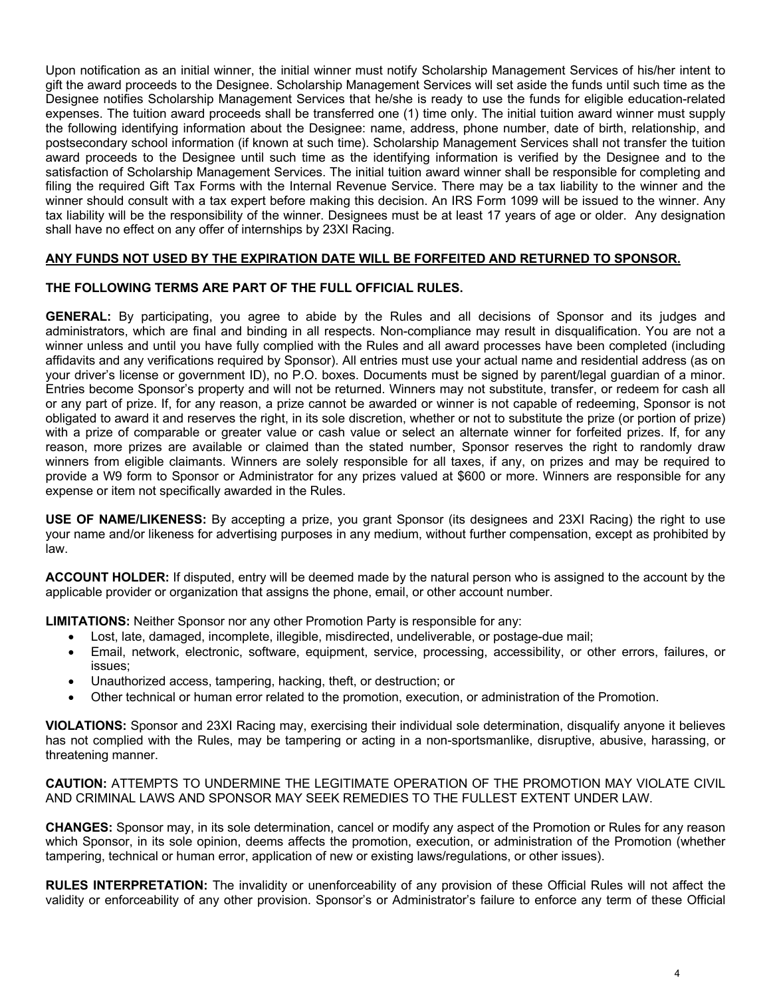Upon notification as an initial winner, the initial winner must notify Scholarship Management Services of his/her intent to gift the award proceeds to the Designee. Scholarship Management Services will set aside the funds until such time as the Designee notifies Scholarship Management Services that he/she is ready to use the funds for eligible education-related expenses. The tuition award proceeds shall be transferred one (1) time only. The initial tuition award winner must supply the following identifying information about the Designee: name, address, phone number, date of birth, relationship, and postsecondary school information (if known at such time). Scholarship Management Services shall not transfer the tuition award proceeds to the Designee until such time as the identifying information is verified by the Designee and to the satisfaction of Scholarship Management Services. The initial tuition award winner shall be responsible for completing and filing the required Gift Tax Forms with the Internal Revenue Service. There may be a tax liability to the winner and the winner should consult with a tax expert before making this decision. An IRS Form 1099 will be issued to the winner. Any tax liability will be the responsibility of the winner. Designees must be at least 17 years of age or older. Any designation shall have no effect on any offer of internships by 23XI Racing.

## **ANY FUNDS NOT USED BY THE EXPIRATION DATE WILL BE FORFEITED AND RETURNED TO SPONSOR.**

## **THE FOLLOWING TERMS ARE PART OF THE FULL OFFICIAL RULES.**

**GENERAL:** By participating, you agree to abide by the Rules and all decisions of Sponsor and its judges and administrators, which are final and binding in all respects. Non-compliance may result in disqualification. You are not a winner unless and until you have fully complied with the Rules and all award processes have been completed (including affidavits and any verifications required by Sponsor). All entries must use your actual name and residential address (as on your driver's license or government ID), no P.O. boxes. Documents must be signed by parent/legal guardian of a minor. Entries become Sponsor's property and will not be returned. Winners may not substitute, transfer, or redeem for cash all or any part of prize. If, for any reason, a prize cannot be awarded or winner is not capable of redeeming, Sponsor is not obligated to award it and reserves the right, in its sole discretion, whether or not to substitute the prize (or portion of prize) with a prize of comparable or greater value or cash value or select an alternate winner for forfeited prizes. If, for any reason, more prizes are available or claimed than the stated number, Sponsor reserves the right to randomly draw winners from eligible claimants. Winners are solely responsible for all taxes, if any, on prizes and may be required to provide a W9 form to Sponsor or Administrator for any prizes valued at \$600 or more. Winners are responsible for any expense or item not specifically awarded in the Rules.

**USE OF NAME/LIKENESS:** By accepting a prize, you grant Sponsor (its designees and 23XI Racing) the right to use your name and/or likeness for advertising purposes in any medium, without further compensation, except as prohibited by law.

**ACCOUNT HOLDER:** If disputed, entry will be deemed made by the natural person who is assigned to the account by the applicable provider or organization that assigns the phone, email, or other account number.

**LIMITATIONS:** Neither Sponsor nor any other Promotion Party is responsible for any:

- Lost, late, damaged, incomplete, illegible, misdirected, undeliverable, or postage-due mail;
- Email, network, electronic, software, equipment, service, processing, accessibility, or other errors, failures, or issues;
- Unauthorized access, tampering, hacking, theft, or destruction; or
- Other technical or human error related to the promotion, execution, or administration of the Promotion.

**VIOLATIONS:** Sponsor and 23XI Racing may, exercising their individual sole determination, disqualify anyone it believes has not complied with the Rules, may be tampering or acting in a non-sportsmanlike, disruptive, abusive, harassing, or threatening manner.

**CAUTION:** ATTEMPTS TO UNDERMINE THE LEGITIMATE OPERATION OF THE PROMOTION MAY VIOLATE CIVIL AND CRIMINAL LAWS AND SPONSOR MAY SEEK REMEDIES TO THE FULLEST EXTENT UNDER LAW.

**CHANGES:** Sponsor may, in its sole determination, cancel or modify any aspect of the Promotion or Rules for any reason which Sponsor, in its sole opinion, deems affects the promotion, execution, or administration of the Promotion (whether tampering, technical or human error, application of new or existing laws/regulations, or other issues).

**RULES INTERPRETATION:** The invalidity or unenforceability of any provision of these Official Rules will not affect the validity or enforceability of any other provision. Sponsor's or Administrator's failure to enforce any term of these Official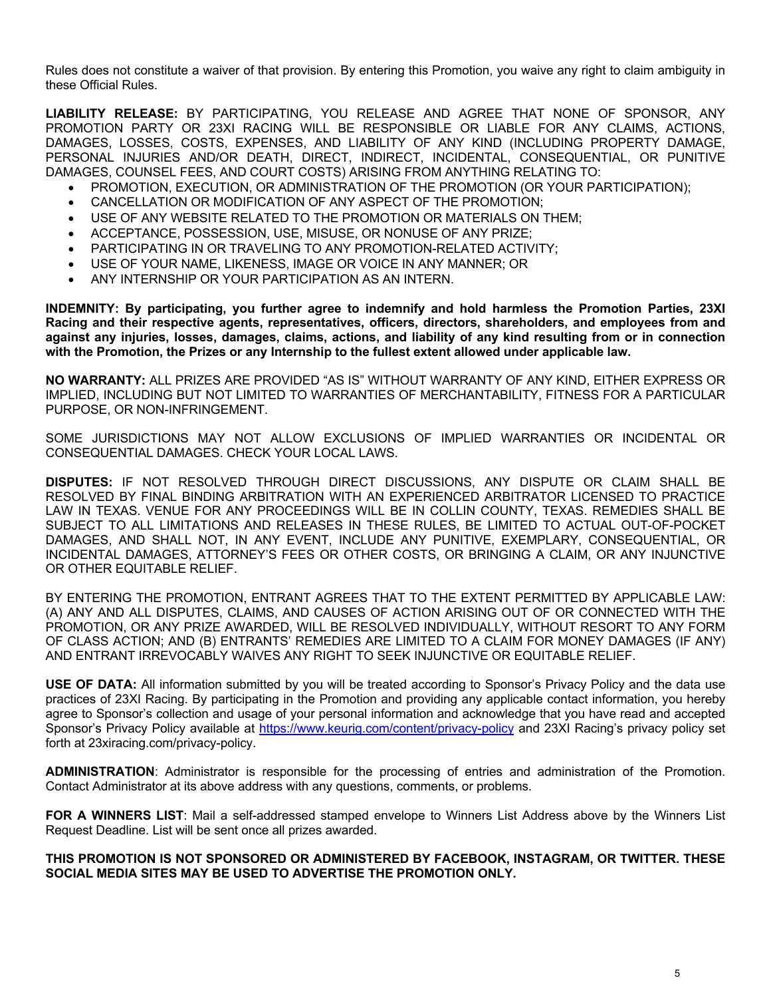Rules does not constitute a waiver of that provision. By entering this Promotion, you waive any right to claim ambiguity in these Official Rules.

**LIABILITY RELEASE:** BY PARTICIPATING, YOU RELEASE AND AGREE THAT NONE OF SPONSOR, ANY PROMOTION PARTY OR 23XI RACING WILL BE RESPONSIBLE OR LIABLE FOR ANY CLAIMS, ACTIONS, DAMAGES, LOSSES, COSTS, EXPENSES, AND LIABILITY OF ANY KIND (INCLUDING PROPERTY DAMAGE, PERSONAL INJURIES AND/OR DEATH, DIRECT, INDIRECT, INCIDENTAL, CONSEQUENTIAL, OR PUNITIVE DAMAGES, COUNSEL FEES, AND COURT COSTS) ARISING FROM ANYTHING RELATING TO:

- PROMOTION, EXECUTION, OR ADMINISTRATION OF THE PROMOTION (OR YOUR PARTICIPATION);
- CANCELLATION OR MODIFICATION OF ANY ASPECT OF THE PROMOTION;
- USE OF ANY WEBSITE RELATED TO THE PROMOTION OR MATERIALS ON THEM;
- ACCEPTANCE, POSSESSION, USE, MISUSE, OR NONUSE OF ANY PRIZE;
- PARTICIPATING IN OR TRAVELING TO ANY PROMOTION-RELATED ACTIVITY;
- USE OF YOUR NAME, LIKENESS, IMAGE OR VOICE IN ANY MANNER; OR
- ANY INTERNSHIP OR YOUR PARTICIPATION AS AN INTERN.

**INDEMNITY: By participating, you further agree to indemnify and hold harmless the Promotion Parties, 23XI Racing and their respective agents, representatives, officers, directors, shareholders, and employees from and against any injuries, losses, damages, claims, actions, and liability of any kind resulting from or in connection with the Promotion, the Prizes or any Internship to the fullest extent allowed under applicable law.** 

**NO WARRANTY:** ALL PRIZES ARE PROVIDED "AS IS" WITHOUT WARRANTY OF ANY KIND, EITHER EXPRESS OR IMPLIED, INCLUDING BUT NOT LIMITED TO WARRANTIES OF MERCHANTABILITY, FITNESS FOR A PARTICULAR PURPOSE, OR NON-INFRINGEMENT.

SOME JURISDICTIONS MAY NOT ALLOW EXCLUSIONS OF IMPLIED WARRANTIES OR INCIDENTAL OR CONSEQUENTIAL DAMAGES. CHECK YOUR LOCAL LAWS.

**DISPUTES:** IF NOT RESOLVED THROUGH DIRECT DISCUSSIONS, ANY DISPUTE OR CLAIM SHALL BE RESOLVED BY FINAL BINDING ARBITRATION WITH AN EXPERIENCED ARBITRATOR LICENSED TO PRACTICE LAW IN TEXAS. VENUE FOR ANY PROCEEDINGS WILL BE IN COLLIN COUNTY, TEXAS. REMEDIES SHALL BE SUBJECT TO ALL LIMITATIONS AND RELEASES IN THESE RULES, BE LIMITED TO ACTUAL OUT-OF-POCKET DAMAGES, AND SHALL NOT, IN ANY EVENT, INCLUDE ANY PUNITIVE, EXEMPLARY, CONSEQUENTIAL, OR INCIDENTAL DAMAGES, ATTORNEY'S FEES OR OTHER COSTS, OR BRINGING A CLAIM, OR ANY INJUNCTIVE OR OTHER EQUITABLE RELIEF.

BY ENTERING THE PROMOTION, ENTRANT AGREES THAT TO THE EXTENT PERMITTED BY APPLICABLE LAW: (A) ANY AND ALL DISPUTES, CLAIMS, AND CAUSES OF ACTION ARISING OUT OF OR CONNECTED WITH THE PROMOTION, OR ANY PRIZE AWARDED, WILL BE RESOLVED INDIVIDUALLY, WITHOUT RESORT TO ANY FORM OF CLASS ACTION; AND (B) ENTRANTS' REMEDIES ARE LIMITED TO A CLAIM FOR MONEY DAMAGES (IF ANY) AND ENTRANT IRREVOCABLY WAIVES ANY RIGHT TO SEEK INJUNCTIVE OR EQUITABLE RELIEF.

**USE OF DATA:** All information submitted by you will be treated according to Sponsor's Privacy Policy and the data use practices of 23XI Racing. By participating in the Promotion and providing any applicable contact information, you hereby agree to Sponsor's collection and usage of your personal information and acknowledge that you have read and accepted Sponsor's Privacy Policy available at https://www.keurig.com/content/privacy-policy and 23XI Racing's privacy policy set forth at 23xiracing.com/privacy-policy.

**ADMINISTRATION**: Administrator is responsible for the processing of entries and administration of the Promotion. Contact Administrator at its above address with any questions, comments, or problems.

**FOR A WINNERS LIST**: Mail a self-addressed stamped envelope to Winners List Address above by the Winners List Request Deadline. List will be sent once all prizes awarded.

### **THIS PROMOTION IS NOT SPONSORED OR ADMINISTERED BY FACEBOOK, INSTAGRAM, OR TWITTER. THESE SOCIAL MEDIA SITES MAY BE USED TO ADVERTISE THE PROMOTION ONLY.**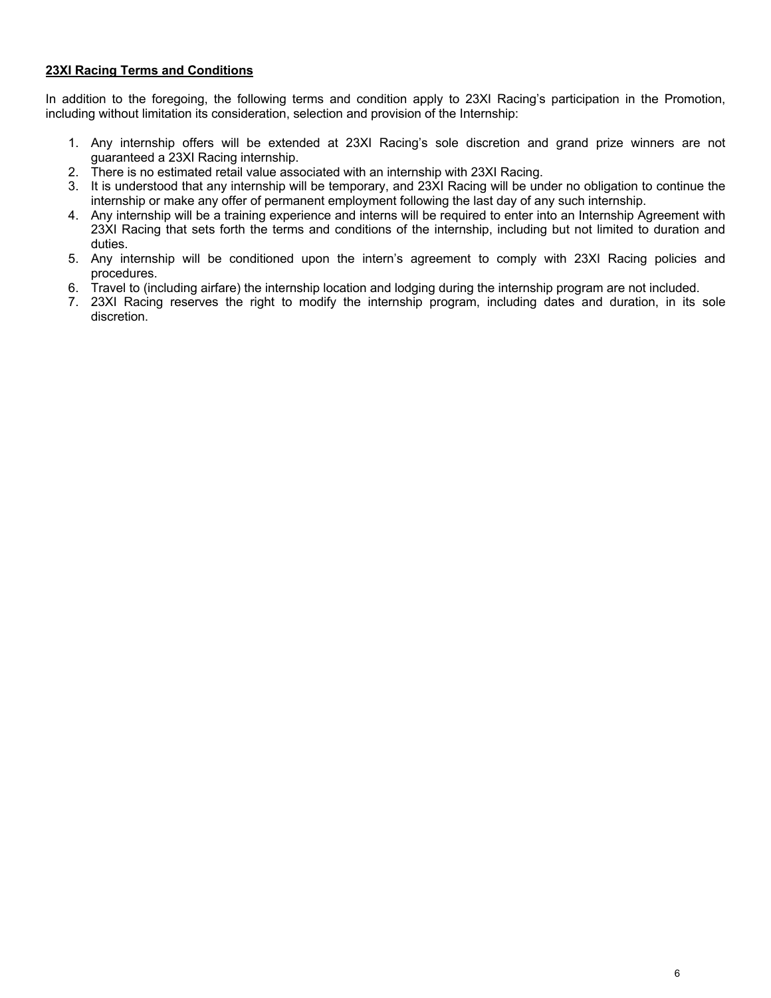# **23XI Racing Terms and Conditions**

In addition to the foregoing, the following terms and condition apply to 23XI Racing's participation in the Promotion, including without limitation its consideration, selection and provision of the Internship:

- 1. Any internship offers will be extended at 23XI Racing's sole discretion and grand prize winners are not guaranteed a 23XI Racing internship.
- 2. There is no estimated retail value associated with an internship with 23XI Racing.
- 3. It is understood that any internship will be temporary, and 23XI Racing will be under no obligation to continue the internship or make any offer of permanent employment following the last day of any such internship.
- 4. Any internship will be a training experience and interns will be required to enter into an Internship Agreement with 23XI Racing that sets forth the terms and conditions of the internship, including but not limited to duration and duties.
- 5. Any internship will be conditioned upon the intern's agreement to comply with 23XI Racing policies and procedures.
- 6. Travel to (including airfare) the internship location and lodging during the internship program are not included.
- 7. 23XI Racing reserves the right to modify the internship program, including dates and duration, in its sole discretion.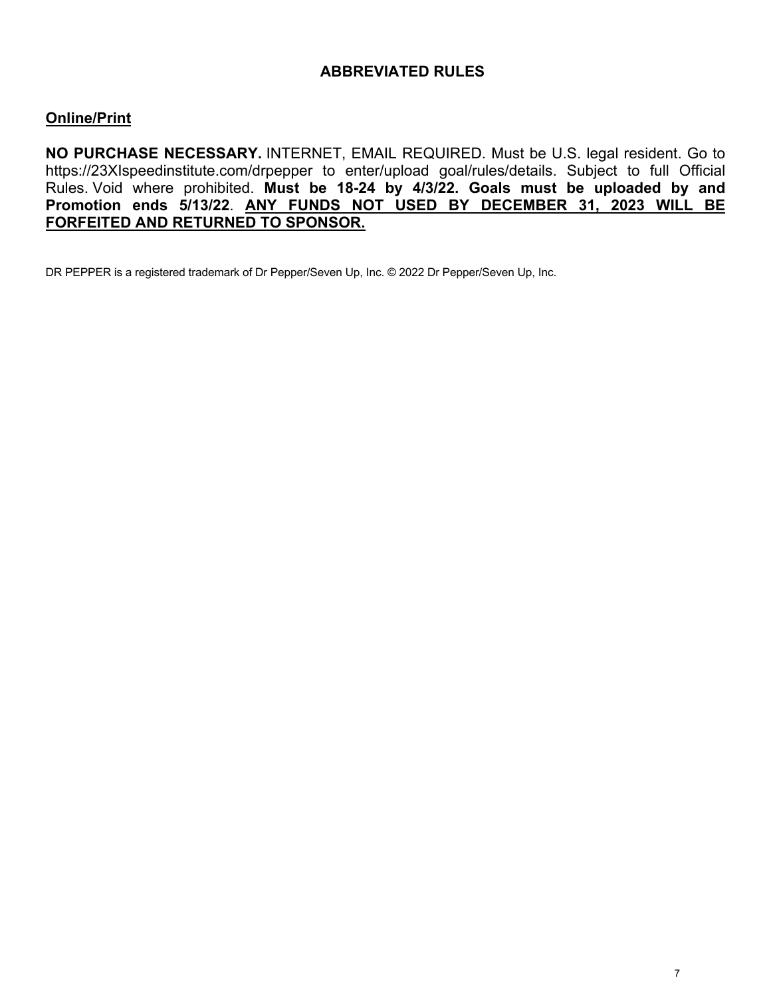# **ABBREVIATED RULES**

# **Online/Print**

**NO PURCHASE NECESSARY.** INTERNET, EMAIL REQUIRED. Must be U.S. legal resident. Go to https://23XIspeedinstitute.com/drpepper to enter/upload goal/rules/details. Subject to full Official Rules. Void where prohibited. **Must be 18-24 by 4/3/22. Goals must be uploaded by and Promotion ends 5/13/22**. **ANY FUNDS NOT USED BY DECEMBER 31, 2023 WILL BE FORFEITED AND RETURNED TO SPONSOR.**

DR PEPPER is a registered trademark of Dr Pepper/Seven Up, Inc. © 2022 Dr Pepper/Seven Up, Inc.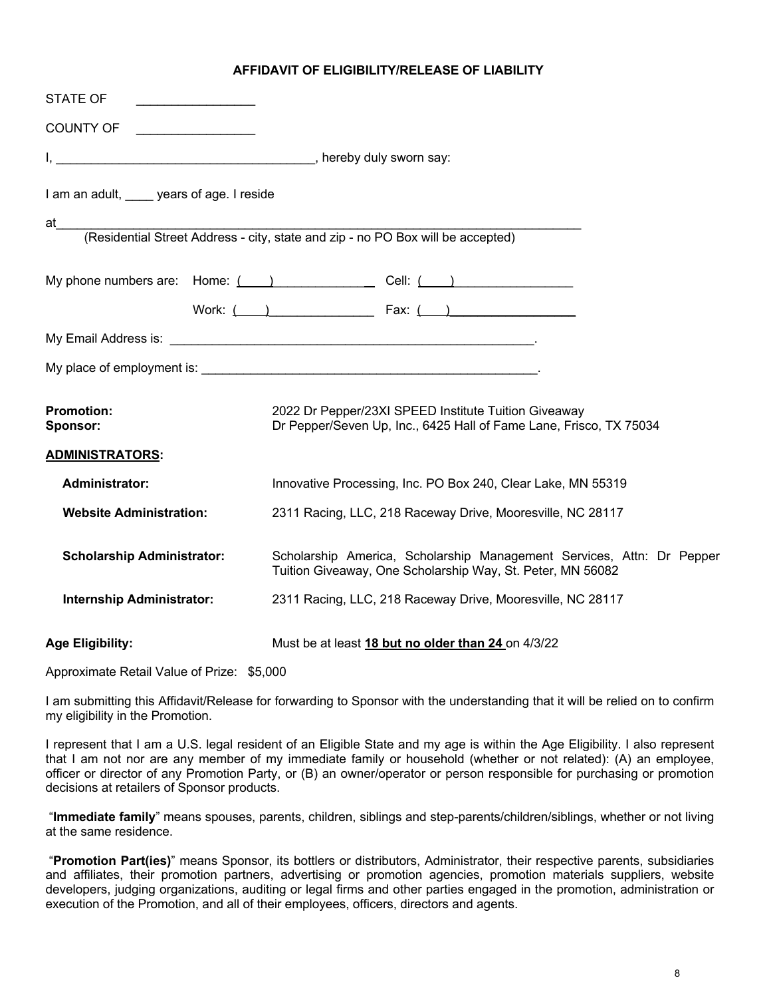## **AFFIDAVIT OF ELIGIBILITY/RELEASE OF LIABILITY**

| <b>STATE OF</b>                       |                                                                                                                                     |  |  |
|---------------------------------------|-------------------------------------------------------------------------------------------------------------------------------------|--|--|
| COUNTY OF <u>________________</u>     |                                                                                                                                     |  |  |
|                                       |                                                                                                                                     |  |  |
| I am an adult, years of age. I reside |                                                                                                                                     |  |  |
| at l                                  | (Residential Street Address - city, state and zip - no PO Box will be accepted)                                                     |  |  |
|                                       |                                                                                                                                     |  |  |
|                                       | My phone numbers are: Home: $\qquad \qquad$ $\qquad$ Cell: $\qquad \qquad$                                                          |  |  |
|                                       | Work: $($ $)$ Fax: $($ $)$                                                                                                          |  |  |
|                                       |                                                                                                                                     |  |  |
|                                       |                                                                                                                                     |  |  |
| <b>Promotion:</b><br>Sponsor:         | 2022 Dr Pepper/23XI SPEED Institute Tuition Giveaway<br>Dr Pepper/Seven Up, Inc., 6425 Hall of Fame Lane, Frisco, TX 75034          |  |  |
| <u>ADMINISTRATORS:</u>                |                                                                                                                                     |  |  |
| <b>Administrator:</b>                 | Innovative Processing, Inc. PO Box 240, Clear Lake, MN 55319                                                                        |  |  |
| <b>Website Administration:</b>        | 2311 Racing, LLC, 218 Raceway Drive, Mooresville, NC 28117                                                                          |  |  |
| <b>Scholarship Administrator:</b>     | Scholarship America, Scholarship Management Services, Attn: Dr Pepper<br>Tuition Giveaway, One Scholarship Way, St. Peter, MN 56082 |  |  |
| <b>Internship Administrator:</b>      | 2311 Racing, LLC, 218 Raceway Drive, Mooresville, NC 28117                                                                          |  |  |
| <b>Age Eligibility:</b>               | Must be at least 18 but no older than 24 on 4/3/22                                                                                  |  |  |

Approximate Retail Value of Prize: \$5,000

I am submitting this Affidavit/Release for forwarding to Sponsor with the understanding that it will be relied on to confirm my eligibility in the Promotion.

I represent that I am a U.S. legal resident of an Eligible State and my age is within the Age Eligibility. I also represent that I am not nor are any member of my immediate family or household (whether or not related): (A) an employee, officer or director of any Promotion Party, or (B) an owner/operator or person responsible for purchasing or promotion decisions at retailers of Sponsor products.

"**Immediate family**" means spouses, parents, children, siblings and step-parents/children/siblings, whether or not living at the same residence.

"**Promotion Part(ies)**" means Sponsor, its bottlers or distributors, Administrator, their respective parents, subsidiaries and affiliates, their promotion partners, advertising or promotion agencies, promotion materials suppliers, website developers, judging organizations, auditing or legal firms and other parties engaged in the promotion, administration or execution of the Promotion, and all of their employees, officers, directors and agents.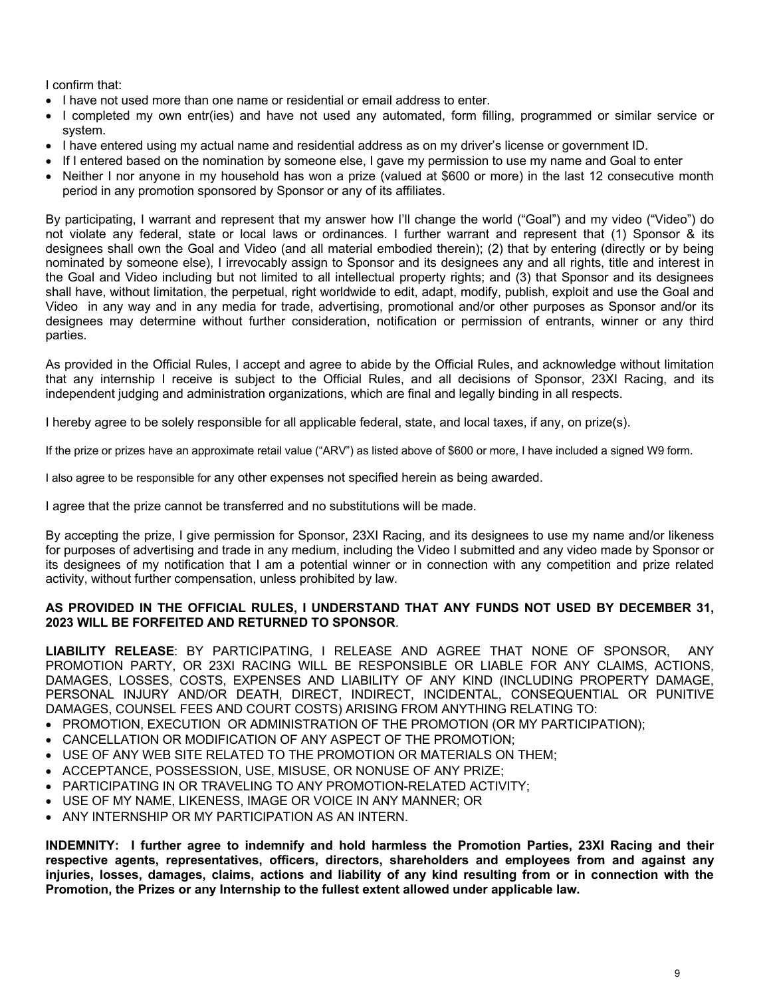I confirm that:

- I have not used more than one name or residential or email address to enter.
- I completed my own entr(ies) and have not used any automated, form filling, programmed or similar service or system.
- I have entered using my actual name and residential address as on my driver's license or government ID.
- If I entered based on the nomination by someone else, I gave my permission to use my name and Goal to enter
- Neither I nor anyone in my household has won a prize (valued at \$600 or more) in the last 12 consecutive month period in any promotion sponsored by Sponsor or any of its affiliates.

By participating, I warrant and represent that my answer how I'll change the world ("Goal") and my video ("Video") do not violate any federal, state or local laws or ordinances. I further warrant and represent that (1) Sponsor & its designees shall own the Goal and Video (and all material embodied therein); (2) that by entering (directly or by being nominated by someone else), I irrevocably assign to Sponsor and its designees any and all rights, title and interest in the Goal and Video including but not limited to all intellectual property rights; and (3) that Sponsor and its designees shall have, without limitation, the perpetual, right worldwide to edit, adapt, modify, publish, exploit and use the Goal and Video in any way and in any media for trade, advertising, promotional and/or other purposes as Sponsor and/or its designees may determine without further consideration, notification or permission of entrants, winner or any third parties.

As provided in the Official Rules, I accept and agree to abide by the Official Rules, and acknowledge without limitation that any internship I receive is subject to the Official Rules, and all decisions of Sponsor, 23XI Racing, and its independent judging and administration organizations, which are final and legally binding in all respects.

I hereby agree to be solely responsible for all applicable federal, state, and local taxes, if any, on prize(s).

If the prize or prizes have an approximate retail value ("ARV") as listed above of \$600 or more, I have included a signed W9 form.

I also agree to be responsible for any other expenses not specified herein as being awarded.

I agree that the prize cannot be transferred and no substitutions will be made.

By accepting the prize, I give permission for Sponsor, 23XI Racing, and its designees to use my name and/or likeness for purposes of advertising and trade in any medium, including the Video I submitted and any video made by Sponsor or its designees of my notification that I am a potential winner or in connection with any competition and prize related activity, without further compensation, unless prohibited by law.

## **AS PROVIDED IN THE OFFICIAL RULES, I UNDERSTAND THAT ANY FUNDS NOT USED BY DECEMBER 31, 2023 WILL BE FORFEITED AND RETURNED TO SPONSOR**.

**LIABILITY RELEASE**: BY PARTICIPATING, I RELEASE AND AGREE THAT NONE OF SPONSOR, ANY PROMOTION PARTY, OR 23XI RACING WILL BE RESPONSIBLE OR LIABLE FOR ANY CLAIMS, ACTIONS, DAMAGES, LOSSES, COSTS, EXPENSES AND LIABILITY OF ANY KIND (INCLUDING PROPERTY DAMAGE, PERSONAL INJURY AND/OR DEATH, DIRECT, INDIRECT, INCIDENTAL, CONSEQUENTIAL OR PUNITIVE DAMAGES, COUNSEL FEES AND COURT COSTS) ARISING FROM ANYTHING RELATING TO:

- PROMOTION, EXECUTION OR ADMINISTRATION OF THE PROMOTION (OR MY PARTICIPATION);
- CANCELLATION OR MODIFICATION OF ANY ASPECT OF THE PROMOTION;
- USE OF ANY WEB SITE RELATED TO THE PROMOTION OR MATERIALS ON THEM;
- ACCEPTANCE, POSSESSION, USE, MISUSE, OR NONUSE OF ANY PRIZE;
- PARTICIPATING IN OR TRAVELING TO ANY PROMOTION-RELATED ACTIVITY;
- USE OF MY NAME, LIKENESS, IMAGE OR VOICE IN ANY MANNER; OR
- ANY INTERNSHIP OR MY PARTICIPATION AS AN INTERN.

**INDEMNITY: I further agree to indemnify and hold harmless the Promotion Parties, 23XI Racing and their respective agents, representatives, officers, directors, shareholders and employees from and against any injuries, losses, damages, claims, actions and liability of any kind resulting from or in connection with the Promotion, the Prizes or any Internship to the fullest extent allowed under applicable law.**